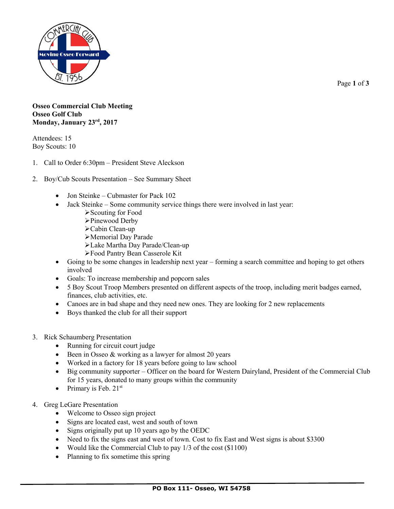

Page **1** of **3**

## **Osseo Commercial Club Meeting Osseo Golf Club Monday, January 23rd, 2017**

Attendees: 15 Boy Scouts: 10

- 1. Call to Order 6:30pm President Steve Aleckson
- 2. Boy/Cub Scouts Presentation See Summary Sheet
	- Jon Steinke Cubmaster for Pack 102
	- Jack Steinke Some community service things there were involved in last year:
		- Scouting for Food
		- Pinewood Derby
		- Cabin Clean-up
		- Memorial Day Parade
		- Lake Martha Day Parade/Clean-up
		- Food Pantry Bean Casserole Kit
	- Going to be some changes in leadership next year forming a search committee and hoping to get others involved
	- Goals: To increase membership and popcorn sales
	- 5 Boy Scout Troop Members presented on different aspects of the troop, including merit badges earned, finances, club activities, etc.
	- Canoes are in bad shape and they need new ones. They are looking for 2 new replacements
	- Boys thanked the club for all their support
- 3. Rick Schaumberg Presentation
	- Running for circuit court judge
	- Been in Osseo & working as a lawyer for almost 20 years
	- Worked in a factory for 18 years before going to law school
	- Big community supporter Officer on the board for Western Dairyland, President of the Commercial Club for 15 years, donated to many groups within the community
	- Primary is Feb.  $21^{st}$
- 4. Greg LeGare Presentation
	- Welcome to Osseo sign project
	- Signs are located east, west and south of town
	- Signs originally put up 10 years ago by the OEDC
	- Need to fix the signs east and west of town. Cost to fix East and West signs is about \$3300
	- Would like the Commercial Club to pay 1/3 of the cost (\$1100)
	- Planning to fix sometime this spring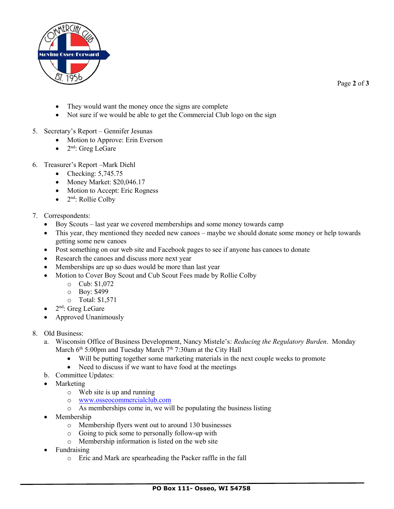

Page **2** of **3**

- They would want the money once the signs are complete
- Not sure if we would be able to get the Commercial Club logo on the sign
- 5. Secretary's Report Gennifer Jesunas
	- Motion to Approve: Erin Everson
	- $\bullet$  2<sup>nd</sup>: Greg LeGare
- 6. Treasurer's Report –Mark Diehl
	- Checking:  $5,745.75$
	- Money Market:  $$20,046.17$
	- Motion to Accept: Eric Rogness
	- $\bullet$  2<sup>nd</sup>: Rollie Colby
- 7. Correspondents:
	- Boy Scouts last year we covered memberships and some money towards camp
	- This year, they mentioned they needed new canoes maybe we should donate some money or help towards getting some new canoes
	- Post something on our web site and Facebook pages to see if anyone has canoes to donate
	- Research the canoes and discuss more next year
	- Memberships are up so dues would be more than last year
	- Motion to Cover Boy Scout and Cub Scout Fees made by Rollie Colby
		- o Cub: \$1,072
		- o Boy: \$499
		- o Total: \$1,571
	- $\bullet$  2<sup>nd</sup>: Greg LeGare
	- Approved Unanimously
- 8. Old Business:
	- a. Wisconsin Office of Business Development, Nancy Mistele's: *Reducing the Regulatory Burden*. Monday March  $6<sup>th</sup> 5:00pm$  and Tuesday March  $7<sup>th</sup> 7:30am$  at the City Hall
		- Will be putting together some marketing materials in the next couple weeks to promote
		- Need to discuss if we want to have food at the meetings
	- b. Committee Updates:
	- Marketing
		- o Web site is up and running
		- o [www.osseocommercialclub.com](http://www.osseocommercialclub.com/)
		- o As memberships come in, we will be populating the business listing
	- Membership
		- o Membership flyers went out to around 130 businesses
		- o Going to pick some to personally follow-up with
		- o Membership information is listed on the web site
	- Fundraising
		- o Eric and Mark are spearheading the Packer raffle in the fall